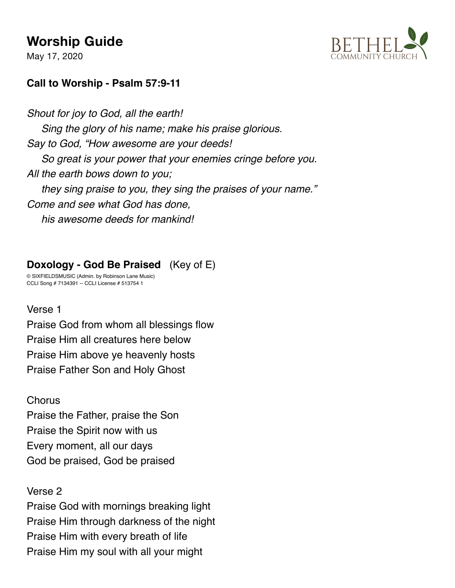May 17, 2020



## **Call to Worship - Psalm 57:9-11**

*Shout for joy to God, all the earth! Sing the glory of his name; make his praise glorious. Say to God, "How awesome are your deeds! So great is your power that your enemies cringe before you. All the earth bows down to you; they sing praise to you, they sing the praises of your name." Come and see what God has done, his awesome deeds for mankind!*

## **Doxology - God Be Praised** (Key of E)

© SIXFIELDSMUSIC (Admin. by Robinson Lane Music) CCLI Song # 7134391 -- CCLI License # 513754 1

#### Verse 1

Praise God from whom all blessings flow Praise Him all creatures here below Praise Him above ye heavenly hosts Praise Father Son and Holy Ghost

#### **Chorus**

Praise the Father, praise the Son Praise the Spirit now with us Every moment, all our days God be praised, God be praised

#### Verse 2

Praise God with mornings breaking light Praise Him through darkness of the night Praise Him with every breath of life Praise Him my soul with all your might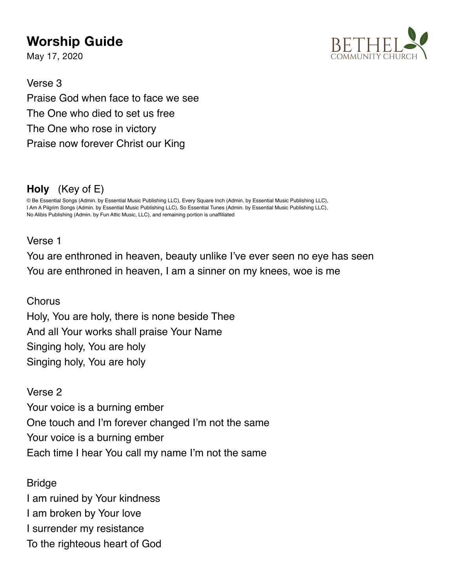May 17, 2020



Verse 3 Praise God when face to face we see The One who died to set us free The One who rose in victory Praise now forever Christ our King

# **Holy** (Key of E)

© Be Essential Songs (Admin. by Essential Music Publishing LLC), Every Square Inch (Admin. by Essential Music Publishing LLC), I Am A Pilgrim Songs (Admin. by Essential Music Publishing LLC), So Essential Tunes (Admin. by Essential Music Publishing LLC), No Alibis Publishing (Admin. by Fun Attic Music, LLC), and remaining portion is unaffiliated

### Verse 1

You are enthroned in heaven, beauty unlike I've ever seen no eye has seen You are enthroned in heaven, I am a sinner on my knees, woe is me

**Chorus** 

Holy, You are holy, there is none beside Thee And all Your works shall praise Your Name Singing holy, You are holy Singing holy, You are holy

Verse 2 Your voice is a burning ember One touch and I'm forever changed I'm not the same Your voice is a burning ember Each time I hear You call my name I'm not the same

**Bridge** I am ruined by Your kindness I am broken by Your love I surrender my resistance To the righteous heart of God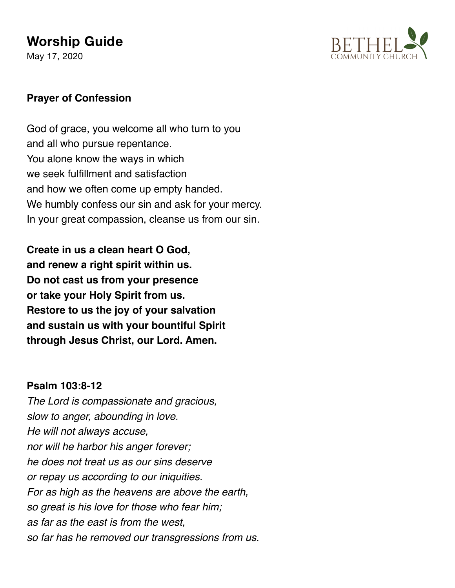May 17, 2020



#### **Prayer of Confession**

God of grace, you welcome all who turn to you and all who pursue repentance. You alone know the ways in which we seek fulfillment and satisfaction and how we often come up empty handed. We humbly confess our sin and ask for your mercy. In your great compassion, cleanse us from our sin.

**Create in us a clean heart O God, and renew a right spirit within us. Do not cast us from your presence or take your Holy Spirit from us. Restore to us the joy of your salvation and sustain us with your bountiful Spirit through Jesus Christ, our Lord. Amen.**

#### **Psalm 103:8-12**

*The Lord is compassionate and gracious, slow to anger, abounding in love. He will not always accuse, nor will he harbor his anger forever; he does not treat us as our sins deserve or repay us according to our iniquities. For as high as the heavens are above the earth, so great is his love for those who fear him; as far as the east is from the west, so far has he removed our transgressions from us.*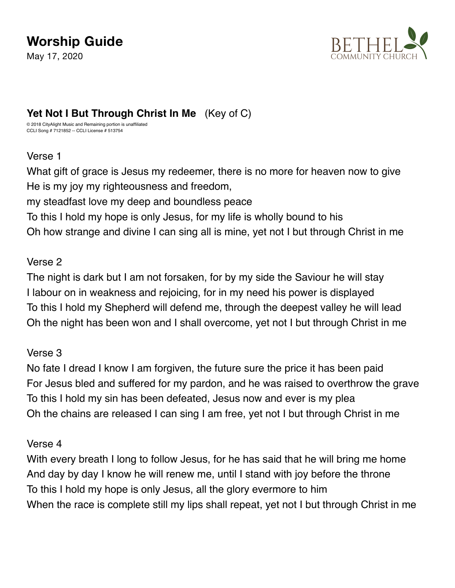May 17, 2020



## **Yet Not I But Through Christ In Me** (Key of C)

© 2018 CityAlight Music and Remaining portion is unaffiliated CCLI Song # 7121852 -- CCLI License # 513754

#### Verse 1

What gift of grace is Jesus my redeemer, there is no more for heaven now to give He is my joy my righteousness and freedom,

my steadfast love my deep and boundless peace

To this I hold my hope is only Jesus, for my life is wholly bound to his

Oh how strange and divine I can sing all is mine, yet not I but through Christ in me

#### Verse 2

The night is dark but I am not forsaken, for by my side the Saviour he will stay I labour on in weakness and rejoicing, for in my need his power is displayed To this I hold my Shepherd will defend me, through the deepest valley he will lead Oh the night has been won and I shall overcome, yet not I but through Christ in me

#### Verse 3

No fate I dread I know I am forgiven, the future sure the price it has been paid For Jesus bled and suffered for my pardon, and he was raised to overthrow the grave To this I hold my sin has been defeated, Jesus now and ever is my plea Oh the chains are released I can sing I am free, yet not I but through Christ in me

#### Verse 4

With every breath I long to follow Jesus, for he has said that he will bring me home And day by day I know he will renew me, until I stand with joy before the throne To this I hold my hope is only Jesus, all the glory evermore to him When the race is complete still my lips shall repeat, yet not I but through Christ in me